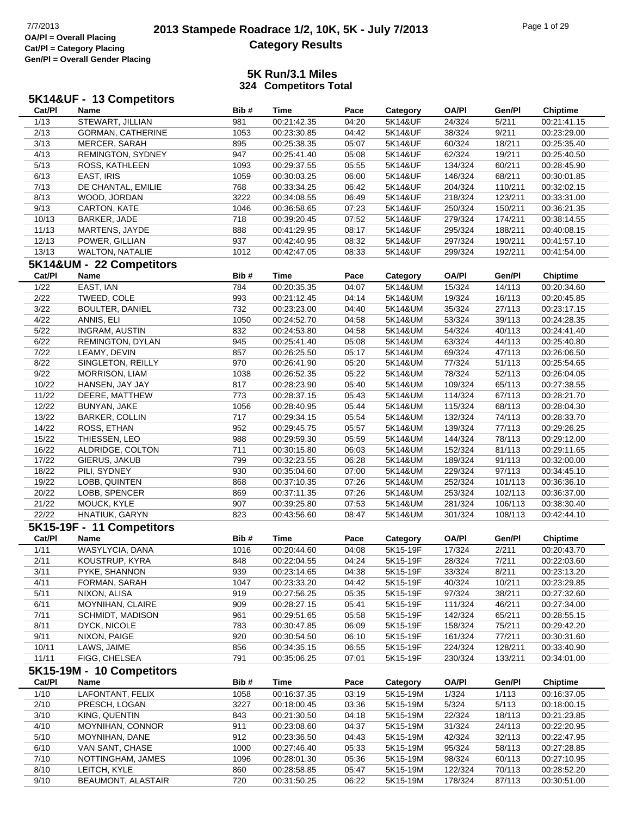### **2013 Stampede Roadrace 1/2, 10K, 5K - July 7/2013** Page 1 of 29 Page 1 of 29 **Category Results**

| 5K14&UF - 13 Competitors |                           |      |                            |       |          |              |         |                 |  |  |
|--------------------------|---------------------------|------|----------------------------|-------|----------|--------------|---------|-----------------|--|--|
| Cat/PI                   | Name                      | Bib# | <b>Time</b>                | Pace  | Category | <b>OA/PI</b> | Gen/Pl  | <b>Chiptime</b> |  |  |
| 1/13                     | STEWART, JILLIAN          | 981  | 00:21:42.35                | 04:20 | 5K14&UF  | 24/324       | 5/211   | 00:21:41.15     |  |  |
| 2/13                     | GORMAN, CATHERINE         | 1053 | 00:23:30.85                | 04:42 | 5K14&UF  | 38/324       | 9/211   | 00:23:29.00     |  |  |
| 3/13                     | MERCER, SARAH             | 895  | 00:25:38.35                | 05:07 | 5K14&UF  | 60/324       | 18/211  | 00:25:35.40     |  |  |
| 4/13                     | REMINGTON, SYDNEY         | 947  | 00:25:41.40                | 05:08 | 5K14&UF  | 62/324       | 19/211  | 00:25:40.50     |  |  |
| 5/13                     | ROSS, KATHLEEN            | 1093 | 00:29:37.55                | 05:55 | 5K14&UF  | 134/324      | 60/211  | 00:28:45.90     |  |  |
| 6/13                     | EAST, IRIS                | 1059 | 00:30:03.25                | 06:00 | 5K14&UF  | 146/324      | 68/211  | 00:30:01.85     |  |  |
| 7/13                     | DE CHANTAL, EMILIE        | 768  | 00:33:34.25                | 06:42 | 5K14&UF  | 204/324      | 110/211 | 00:32:02.15     |  |  |
| 8/13                     | WOOD, JORDAN              | 3222 | 00:34:08.55                | 06:49 | 5K14&UF  | 218/324      | 123/211 | 00:33:31.00     |  |  |
| 9/13                     | CARTON, KATE              | 1046 | 00:36:58.65                | 07:23 | 5K14&UF  | 250/324      | 150/211 | 00:36:21.35     |  |  |
| 10/13                    | BARKER, JADE              | 718  | 00:39:20.45                | 07:52 | 5K14&UF  | 279/324      | 174/211 | 00:38:14.55     |  |  |
| 11/13                    | MARTENS, JAYDE            | 888  | 00:41:29.95                | 08:17 | 5K14&UF  | 295/324      | 188/211 | 00:40:08.15     |  |  |
| 12/13                    | POWER, GILLIAN            | 937  | 00:42:40.95                | 08:32 | 5K14&UF  | 297/324      | 190/211 | 00:41:57.10     |  |  |
| 13/13                    | WALTON, NATALIE           | 1012 | 00:42:47.05                | 08:33 | 5K14&UF  | 299/324      | 192/211 | 00:41:54.00     |  |  |
|                          | 5K14&UM - 22 Competitors  |      |                            |       |          |              |         |                 |  |  |
| Cat/PI                   | Name                      | Bib# | Time                       | Pace  | Category | <b>OA/PI</b> | Gen/Pl  | <b>Chiptime</b> |  |  |
| 1/22                     | EAST, IAN                 | 784  |                            | 04:07 | 5K14&UM  | 15/324       | 14/113  | 00:20:34.60     |  |  |
|                          |                           |      | 00:20:35.35<br>00:21:12.45 | 04:14 |          |              |         |                 |  |  |
| 2/22                     | TWEED, COLE               | 993  |                            |       | 5K14&UM  | 19/324       | 16/113  | 00:20:45.85     |  |  |
| 3/22                     | <b>BOULTER, DANIEL</b>    | 732  | 00:23:23.00                | 04:40 | 5K14&UM  | 35/324       | 27/113  | 00:23:17.15     |  |  |
| 4/22                     | ANNIS, ELI                | 1050 | 00:24:52.70                | 04:58 | 5K14&UM  | 53/324       | 39/113  | 00:24:28.35     |  |  |
| 5/22                     | <b>INGRAM, AUSTIN</b>     | 832  | 00:24:53.80                | 04:58 | 5K14&UM  | 54/324       | 40/113  | 00:24:41.40     |  |  |
| 6/22                     | REMINGTON, DYLAN          | 945  | 00:25:41.40                | 05:08 | 5K14&UM  | 63/324       | 44/113  | 00:25:40.80     |  |  |
| 7/22                     | LEAMY, DEVIN              | 857  | 00:26:25.50                | 05:17 | 5K14&UM  | 69/324       | 47/113  | 00:26:06.50     |  |  |
| 8/22                     | SINGLETON, REILLY         | 970  | 00:26:41.90                | 05:20 | 5K14&UM  | 77/324       | 51/113  | 00:25:54.65     |  |  |
| 9/22                     | <b>MORRISON, LIAM</b>     | 1038 | 00:26:52.35                | 05:22 | 5K14&UM  | 78/324       | 52/113  | 00:26:04.05     |  |  |
| 10/22                    | HANSEN, JAY JAY           | 817  | 00:28:23.90                | 05:40 | 5K14&UM  | 109/324      | 65/113  | 00:27:38.55     |  |  |
| 11/22                    | DEERE, MATTHEW            | 773  | 00:28:37.15                | 05:43 | 5K14&UM  | 114/324      | 67/113  | 00:28:21.70     |  |  |
| 12/22                    | BUNYAN, JAKE              | 1056 | 00:28:40.95                | 05:44 | 5K14&UM  | 115/324      | 68/113  | 00:28:04.30     |  |  |
| 13/22                    | <b>BARKER, COLLIN</b>     | 717  | 00:29:34.15                | 05:54 | 5K14&UM  | 132/324      | 74/113  | 00:28:33.70     |  |  |
| 14/22                    | ROSS, ETHAN               | 952  | 00:29:45.75                | 05:57 | 5K14&UM  | 139/324      | 77/113  | 00:29:26.25     |  |  |
| 15/22                    | THIESSEN, LEO             | 988  | 00:29:59.30                | 05:59 | 5K14&UM  | 144/324      | 78/113  | 00:29:12.00     |  |  |
| 16/22                    | ALDRIDGE, COLTON          | 711  | 00:30:15.80                | 06:03 | 5K14&UM  | 152/324      | 81/113  | 00:29:11.65     |  |  |
| 17/22                    | GIERUS, JAKUB             | 799  | 00:32:23.55                | 06:28 | 5K14&UM  | 189/324      | 91/113  | 00:32:00.00     |  |  |
| 18/22                    | PILI, SYDNEY              | 930  | 00:35:04.60                | 07:00 | 5K14&UM  | 229/324      | 97/113  | 00:34:45.10     |  |  |
| 19/22                    | LOBB, QUINTEN             | 868  | 00:37:10.35                | 07:26 | 5K14&UM  | 252/324      | 101/113 | 00:36:36.10     |  |  |
| 20/22                    | LOBB, SPENCER             | 869  | 00:37:11.35                | 07:26 | 5K14&UM  | 253/324      | 102/113 | 00:36:37.00     |  |  |
| 21/22                    | MOUCK, KYLE               | 907  | 00:39:25.80                | 07:53 | 5K14&UM  | 281/324      | 106/113 | 00:38:30.40     |  |  |
| 22/22                    | HNATIUK, GARYN            | 823  | 00:43:56.60                | 08:47 | 5K14&UM  | 301/324      | 108/113 | 00:42:44.10     |  |  |
|                          | 5K15-19F - 11 Competitors |      |                            |       |          |              |         |                 |  |  |
| Cat/PI                   | <b>Name</b>               | Bib# | <b>Time</b>                | Pace  | Category | <b>OA/PI</b> | Gen/Pl  | <b>Chiptime</b> |  |  |
| 1/11                     | WASYLYCIA, DANA           | 1016 | 00:20:44.60                | 04:08 | 5K15-19F | 17/324       | 2/211   | 00:20:43.70     |  |  |
| 2/11                     | KOUSTRUP, KYRA            | 848  | 00:22:04.55                | 04:24 | 5K15-19F | 28/324       | 7/211   | 00:22:03.60     |  |  |
| 3/11                     | PYKE, SHANNON             | 939  | 00:23:14.65                | 04:38 | 5K15-19F | 33/324       | 8/211   | 00:23:13.20     |  |  |
| 4/11                     | FORMAN, SARAH             | 1047 | 00:23:33.20                | 04:42 | 5K15-19F | 40/324       | 10/211  | 00:23:29.85     |  |  |
| 5/11                     | NIXON, ALISA              | 919  | 00:27:56.25                | 05:35 | 5K15-19F | 97/324       | 38/211  | 00:27:32.60     |  |  |
| 6/11                     | MOYNIHAN, CLAIRE          | 909  | 00:28:27.15                | 05:41 | 5K15-19F | 111/324      | 46/211  | 00:27:34.00     |  |  |
| 7/11                     | <b>SCHMIDT, MADISON</b>   | 961  | 00:29:51.65                | 05:58 | 5K15-19F | 142/324      | 65/211  | 00:28:55.15     |  |  |
| 8/11                     | DYCK, NICOLE              | 783  | 00:30:47.85                | 06:09 | 5K15-19F | 158/324      | 75/211  | 00:29:42.20     |  |  |
| 9/11                     | NIXON, PAIGE              | 920  | 00:30:54.50                | 06:10 | 5K15-19F | 161/324      | 77/211  | 00:30:31.60     |  |  |
| 10/11                    | LAWS, JAIME               | 856  | 00:34:35.15                | 06:55 | 5K15-19F | 224/324      | 128/211 | 00:33:40.90     |  |  |
| 11/11                    | FIGG, CHELSEA             | 791  | 00:35:06.25                | 07:01 | 5K15-19F | 230/324      | 133/211 | 00:34:01.00     |  |  |
|                          | 5K15-19M - 10 Competitors |      |                            |       |          |              |         |                 |  |  |
| Cat/PI                   | Name                      | Bib# | <b>Time</b>                | Pace  | Category | <b>OA/PI</b> | Gen/Pl  | <b>Chiptime</b> |  |  |
| 1/10                     | LAFONTANT, FELIX          | 1058 | 00:16:37.35                | 03:19 | 5K15-19M | 1/324        | 1/113   | 00:16:37.05     |  |  |
| 2/10                     | PRESCH, LOGAN             | 3227 | 00:18:00.45                | 03:36 | 5K15-19M | 5/324        | 5/113   | 00:18:00.15     |  |  |
| 3/10                     | KING, QUENTIN             | 843  | 00:21:30.50                | 04:18 | 5K15-19M | 22/324       | 18/113  | 00:21:23.85     |  |  |
| 4/10                     | MOYNIHAN, CONNOR          | 911  | 00:23:08.60                | 04:37 | 5K15-19M | 31/324       | 24/113  | 00:22:20.95     |  |  |
| 5/10                     | MOYNIHAN, DANE            | 912  | 00:23:36.50                | 04:43 | 5K15-19M | 42/324       | 32/113  | 00:22:47.95     |  |  |
| 6/10                     | VAN SANT, CHASE           | 1000 | 00:27:46.40                | 05:33 | 5K15-19M | 95/324       | 58/113  | 00:27:28.85     |  |  |
| 7/10                     | NOTTINGHAM, JAMES         | 1096 | 00:28:01.30                | 05:36 | 5K15-19M | 98/324       | 60/113  | 00:27:10.95     |  |  |
| 8/10                     | LEITCH, KYLE              | 860  | 00:28:58.85                | 05:47 | 5K15-19M | 122/324      | 70/113  | 00:28:52.20     |  |  |
| 9/10                     | BEAUMONT, ALASTAIR        | 720  | 00:31:50.25                | 06:22 | 5K15-19M | 178/324      | 87/113  | 00:30:51.00     |  |  |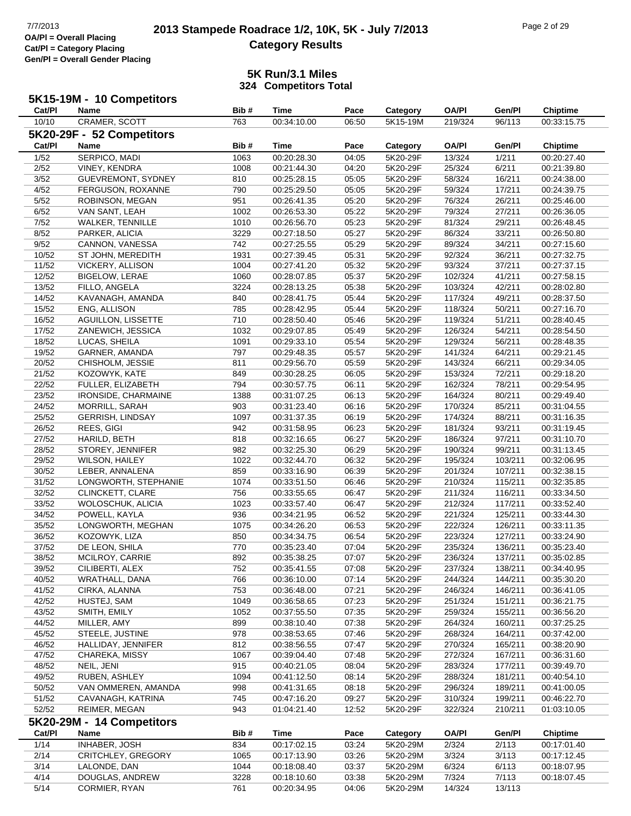#### **5K Run/3.1 Miles 324 Competitors Total**

# **5K15-19M - 10 Competitors**

| <b>Cat/PI</b> | Name                       | Bib# | Time        | Pace  | Category | OA/PI        | Gen/Pl  | <b>Chiptime</b> |  |  |  |
|---------------|----------------------------|------|-------------|-------|----------|--------------|---------|-----------------|--|--|--|
| 10/10         | CRAMER, SCOTT              | 763  | 00:34:10.00 | 06:50 | 5K15-19M | 219/324      | 96/113  | 00:33:15.75     |  |  |  |
|               | 5K20-29F - 52 Competitors  |      |             |       |          |              |         |                 |  |  |  |
| Cat/PI        | <b>Name</b>                | Bib# | Time        | Pace  | Category | <b>OA/PI</b> | Gen/Pl  | <b>Chiptime</b> |  |  |  |
|               |                            |      |             |       |          |              |         |                 |  |  |  |
| 1/52          | SERPICO, MADI              | 1063 | 00:20:28.30 | 04:05 | 5K20-29F | 13/324       | 1/211   | 00:20:27.40     |  |  |  |
| 2/52          | VINEY, KENDRA              | 1008 | 00:21:44.30 | 04:20 | 5K20-29F | 25/324       | 6/211   | 00:21:39.80     |  |  |  |
| 3/52          | <b>GUEVREMONT, SYDNEY</b>  | 810  | 00:25:28.15 | 05:05 | 5K20-29F | 58/324       | 16/211  | 00:24:38.00     |  |  |  |
| 4/52          | FERGUSON, ROXANNE          | 790  | 00:25:29.50 | 05:05 | 5K20-29F | 59/324       | 17/211  | 00:24:39.75     |  |  |  |
| 5/52          | ROBINSON, MEGAN            | 951  | 00:26:41.35 | 05:20 | 5K20-29F | 76/324       | 26/211  | 00:25:46.00     |  |  |  |
| 6/52          | VAN SANT, LEAH             | 1002 | 00:26:53.30 | 05:22 | 5K20-29F | 79/324       | 27/211  | 00:26:36.05     |  |  |  |
| 7/52          | <b>WALKER, TENNILLE</b>    | 1010 | 00:26:56.70 | 05:23 | 5K20-29F | 81/324       | 29/211  | 00:26:48.45     |  |  |  |
| 8/52          | PARKER, ALICIA             | 3229 | 00:27:18.50 | 05:27 | 5K20-29F | 86/324       | 33/211  | 00:26:50.80     |  |  |  |
| 9/52          | CANNON, VANESSA            | 742  | 00:27:25.55 | 05:29 | 5K20-29F | 89/324       | 34/211  | 00:27:15.60     |  |  |  |
| 10/52         | ST JOHN, MEREDITH          | 1931 | 00:27:39.45 | 05:31 | 5K20-29F | 92/324       | 36/211  | 00:27:32.75     |  |  |  |
| 11/52         | <b>VICKERY, ALLISON</b>    | 1004 | 00:27:41.20 | 05:32 | 5K20-29F | 93/324       | 37/211  | 00:27:37.15     |  |  |  |
| 12/52         | <b>BIGELOW, LERAE</b>      | 1060 | 00:28:07.85 | 05:37 | 5K20-29F | 102/324      | 41/211  | 00:27:58.15     |  |  |  |
| 13/52         | FILLO, ANGELA              | 3224 | 00:28:13.25 | 05:38 | 5K20-29F | 103/324      | 42/211  | 00:28:02.80     |  |  |  |
| 14/52         | KAVANAGH, AMANDA           | 840  | 00:28:41.75 | 05:44 | 5K20-29F | 117/324      | 49/211  | 00:28:37.50     |  |  |  |
| 15/52         | <b>ENG. ALLISON</b>        | 785  | 00:28:42.95 | 05:44 | 5K20-29F | 118/324      | 50/211  | 00:27:16.70     |  |  |  |
| 16/52         | <b>AGUILLON, LISSETTE</b>  | 710  | 00:28:50.40 | 05:46 | 5K20-29F | 119/324      | 51/211  | 00:28:40.45     |  |  |  |
| 17/52         | ZANEWICH, JESSICA          | 1032 | 00:29:07.85 | 05:49 | 5K20-29F | 126/324      | 54/211  | 00:28:54.50     |  |  |  |
| 18/52         | LUCAS, SHEILA              | 1091 | 00:29:33.10 | 05:54 | 5K20-29F | 129/324      | 56/211  | 00:28:48.35     |  |  |  |
| 19/52         | GARNER, AMANDA             | 797  | 00:29:48.35 | 05:57 | 5K20-29F | 141/324      | 64/211  | 00:29:21.45     |  |  |  |
| 20/52         | CHISHOLM, JESSIE           | 811  | 00:29:56.70 | 05:59 | 5K20-29F | 143/324      | 66/211  | 00:29:34.05     |  |  |  |
| 21/52         | KOZOWYK, KATE              | 849  | 00:30:28.25 | 06:05 | 5K20-29F | 153/324      | 72/211  | 00:29:18.20     |  |  |  |
|               |                            |      |             |       |          |              |         |                 |  |  |  |
| 22/52         | FULLER, ELIZABETH          | 794  | 00:30:57.75 | 06:11 | 5K20-29F | 162/324      | 78/211  | 00:29:54.95     |  |  |  |
| 23/52         | <b>IRONSIDE, CHARMAINE</b> | 1388 | 00:31:07.25 | 06:13 | 5K20-29F | 164/324      | 80/211  | 00:29:49.40     |  |  |  |
| 24/52         | <b>MORRILL, SARAH</b>      | 903  | 00:31:23.40 | 06:16 | 5K20-29F | 170/324      | 85/211  | 00:31:04.55     |  |  |  |
| 25/52         | <b>GERRISH, LINDSAY</b>    | 1097 | 00:31:37.35 | 06:19 | 5K20-29F | 174/324      | 88/211  | 00:31:16.35     |  |  |  |
| 26/52         | REES, GIGI                 | 942  | 00:31:58.95 | 06:23 | 5K20-29F | 181/324      | 93/211  | 00:31:19.45     |  |  |  |
| 27/52         | HARILD, BETH               | 818  | 00:32:16.65 | 06:27 | 5K20-29F | 186/324      | 97/211  | 00:31:10.70     |  |  |  |
| 28/52         | STOREY, JENNIFER           | 982  | 00:32:25.30 | 06:29 | 5K20-29F | 190/324      | 99/211  | 00:31:13.45     |  |  |  |
| 29/52         | <b>WILSON, HAILEY</b>      | 1022 | 00:32:44.70 | 06:32 | 5K20-29F | 195/324      | 103/211 | 00:32:06.95     |  |  |  |
| 30/52         | LEBER, ANNALENA            | 859  | 00:33:16.90 | 06:39 | 5K20-29F | 201/324      | 107/211 | 00:32:38.15     |  |  |  |
| 31/52         | LONGWORTH, STEPHANIE       | 1074 | 00:33:51.50 | 06:46 | 5K20-29F | 210/324      | 115/211 | 00:32:35.85     |  |  |  |
| 32/52         | CLINCKETT, CLARE           | 756  | 00:33:55.65 | 06:47 | 5K20-29F | 211/324      | 116/211 | 00:33:34.50     |  |  |  |
| 33/52         | WOLOSCHUK, ALICIA          | 1023 | 00:33:57.40 | 06:47 | 5K20-29F | 212/324      | 117/211 | 00:33:52.40     |  |  |  |
| 34/52         | POWELL, KAYLA              | 936  | 00:34:21.95 | 06:52 | 5K20-29F | 221/324      | 125/211 | 00:33:44.30     |  |  |  |
| 35/52         | LONGWORTH, MEGHAN          | 1075 | 00:34:26.20 | 06:53 | 5K20-29F | 222/324      | 126/211 | 00:33:11.35     |  |  |  |
| 36/52         | KOZOWYK, LIZA              | 850  | 00:34:34.75 | 06:54 | 5K20-29F | 223/324      | 127/211 | 00:33:24.90     |  |  |  |
| 37/52         | DE LEON, SHILA             | 770  | 00:35:23.40 | 07:04 | 5K20-29F | 235/324      | 136/211 | 00:35:23.40     |  |  |  |
| 38/52         | MCILROY, CARRIE            | 892  | 00:35:38.25 | 07:07 | 5K20-29F | 236/324      | 137/211 | 00:35:02.85     |  |  |  |
| 39/52         | CILIBERTI, ALEX            | 752  | 00:35:41.55 | 07:08 | 5K20-29F | 237/324      | 138/211 | 00:34:40.95     |  |  |  |
| 40/52         | WRATHALL, DANA             | 766  | 00:36:10.00 | 07:14 | 5K20-29F | 244/324      | 144/211 | 00:35:30.20     |  |  |  |
| 41/52         | CIRKA, ALANNA              | 753  | 00:36:48.00 | 07:21 | 5K20-29F | 246/324      | 146/211 | 00:36:41.05     |  |  |  |
| 42/52         | HUSTEJ, SAM                | 1049 | 00:36:58.65 | 07:23 | 5K20-29F | 251/324      | 151/211 | 00:36:21.75     |  |  |  |
| 43/52         | SMITH, EMILY               | 1052 | 00:37:55.50 | 07:35 | 5K20-29F | 259/324      | 155/211 | 00:36:56.20     |  |  |  |
| 44/52         | MILLER, AMY                | 899  | 00:38:10.40 | 07:38 | 5K20-29F | 264/324      | 160/211 | 00:37:25.25     |  |  |  |
| 45/52         | STEELE, JUSTINE            | 978  |             | 07:46 | 5K20-29F | 268/324      | 164/211 |                 |  |  |  |
|               |                            |      | 00:38:53.65 |       |          |              |         | 00:37:42.00     |  |  |  |
| 46/52         | HALLIDAY, JENNIFER         | 812  | 00:38:56.55 | 07:47 | 5K20-29F | 270/324      | 165/211 | 00:38:20.90     |  |  |  |
| 47/52         | CHAREKA, MISSY             | 1067 | 00:39:04.40 | 07:48 | 5K20-29F | 272/324      | 167/211 | 00:36:31.60     |  |  |  |
| 48/52         | NEIL, JENI                 | 915  | 00:40:21.05 | 08:04 | 5K20-29F | 283/324      | 177/211 | 00:39:49.70     |  |  |  |
| 49/52         | RUBEN, ASHLEY              | 1094 | 00:41:12.50 | 08:14 | 5K20-29F | 288/324      | 181/211 | 00:40:54.10     |  |  |  |
| 50/52         | VAN OMMEREN, AMANDA        | 998  | 00:41:31.65 | 08:18 | 5K20-29F | 296/324      | 189/211 | 00:41:00.05     |  |  |  |
| 51/52         | CAVANAGH, KATRINA          | 745  | 00:47:16.20 | 09:27 | 5K20-29F | 310/324      | 199/211 | 00:46:22.70     |  |  |  |
| 52/52         | REIMER, MEGAN              | 943  | 01:04:21.40 | 12:52 | 5K20-29F | 322/324      | 210/211 | 01:03:10.05     |  |  |  |
|               | 5K20-29M - 14 Competitors  |      |             |       |          |              |         |                 |  |  |  |
| Cat/PI        | Name                       | Bib# | <b>Time</b> | Pace  | Category | <b>OA/PI</b> | Gen/Pl  | <b>Chiptime</b> |  |  |  |
| 1/14          | INHABER, JOSH              | 834  | 00:17:02.15 | 03:24 | 5K20-29M | 2/324        | 2/113   | 00:17:01.40     |  |  |  |
| 2/14          | CRITCHLEY, GREGORY         | 1065 | 00:17:13.90 | 03:26 | 5K20-29M | 3/324        | 3/113   | 00:17:12.45     |  |  |  |
| 3/14          | LALONDE, DAN               | 1044 | 00:18:08.40 | 03:37 | 5K20-29M | 6/324        | 6/113   | 00:18:07.95     |  |  |  |
| 4/14          | DOUGLAS, ANDREW            | 3228 | 00:18:10.60 | 03:38 | 5K20-29M | 7/324        | 7/113   | 00:18:07.45     |  |  |  |
| 5/14          | CORMIER, RYAN              | 761  | 00:20:34.95 | 04:06 | 5K20-29M | 14/324       | 13/113  |                 |  |  |  |
|               |                            |      |             |       |          |              |         |                 |  |  |  |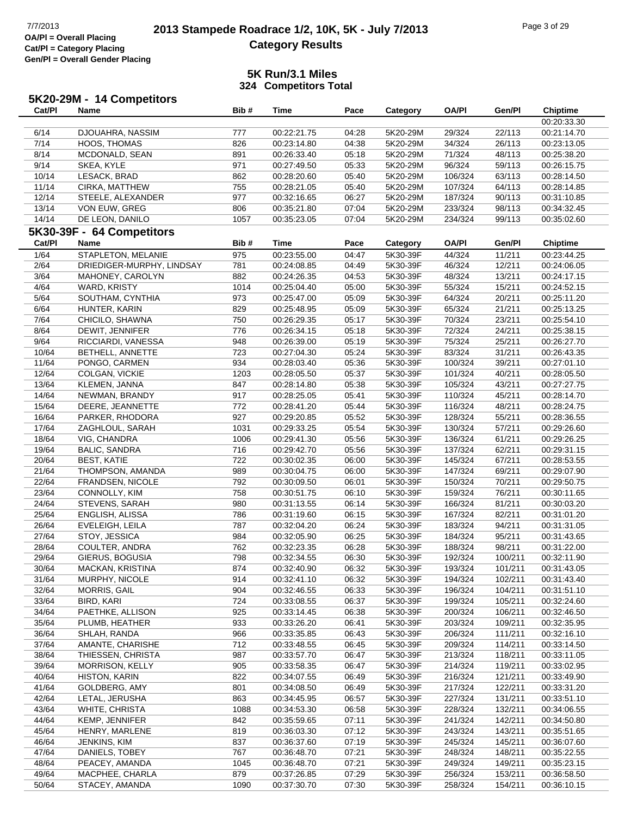**5K20-29M - 14 Competitors**

## **2013 Stampede Roadrace 1/2, 10K, 5K - July 7/2013** Page 3 of 29<br> **Development Care 1/2, 10K, 5K - July 7/2013 Category Results**

| Cat/Pl | <b>Name</b>               | Bib# | Time        | Pace  | Category | <b>OA/PI</b> | Gen/Pl  | <b>Chiptime</b> |
|--------|---------------------------|------|-------------|-------|----------|--------------|---------|-----------------|
|        |                           |      |             |       |          |              |         | 00:20:33.30     |
| 6/14   | DJOUAHRA, NASSIM          | 777  | 00:22:21.75 | 04:28 | 5K20-29M | 29/324       | 22/113  | 00:21:14.70     |
| 7/14   | HOOS, THOMAS              | 826  | 00:23:14.80 | 04:38 | 5K20-29M | 34/324       | 26/113  | 00:23:13.05     |
| 8/14   | MCDONALD, SEAN            | 891  | 00:26:33.40 | 05:18 | 5K20-29M | 71/324       | 48/113  | 00:25:38.20     |
| 9/14   | SKEA, KYLE                | 971  | 00:27:49.50 | 05:33 | 5K20-29M | 96/324       | 59/113  | 00:26:15.75     |
| 10/14  | LESACK, BRAD              | 862  | 00:28:20.60 | 05:40 | 5K20-29M | 106/324      | 63/113  | 00:28:14.50     |
| 11/14  | CIRKA, MATTHEW            | 755  | 00:28:21.05 | 05:40 | 5K20-29M | 107/324      | 64/113  | 00:28:14.85     |
| 12/14  | STEELE, ALEXANDER         | 977  | 00:32:16.65 | 06:27 | 5K20-29M | 187/324      | 90/113  | 00:31:10.85     |
| 13/14  | VON EUW, GREG             | 806  | 00:35:21.80 | 07:04 | 5K20-29M | 233/324      | 98/113  | 00:34:32.45     |
| 14/14  | DE LEON, DANILO           | 1057 | 00:35:23.05 | 07:04 | 5K20-29M | 234/324      | 99/113  | 00:35:02.60     |
|        | 5K30-39F - 64 Competitors |      |             |       |          |              |         |                 |
| Cat/PI | Name                      | Bib# | <b>Time</b> | Pace  | Category | <b>OA/PI</b> | Gen/Pl  | <b>Chiptime</b> |
| 1/64   | STAPLETON, MELANIE        | 975  | 00:23:55.00 | 04:47 | 5K30-39F | 44/324       | 11/211  | 00:23:44.25     |
| 2/64   | DRIEDIGER-MURPHY, LINDSAY | 781  | 00:24:08.85 | 04:49 | 5K30-39F | 46/324       | 12/211  | 00:24:06.05     |
| 3/64   | MAHONEY, CAROLYN          | 882  | 00:24:26.35 | 04:53 | 5K30-39F | 48/324       | 13/211  | 00:24:17.15     |
| 4/64   | WARD, KRISTY              | 1014 | 00:25:04.40 | 05:00 | 5K30-39F | 55/324       | 15/211  | 00:24:52.15     |
| 5/64   | SOUTHAM, CYNTHIA          | 973  | 00:25:47.00 | 05:09 | 5K30-39F | 64/324       | 20/211  | 00:25:11.20     |
| 6/64   | HUNTER, KARIN             | 829  | 00:25:48.95 | 05:09 | 5K30-39F | 65/324       | 21/211  | 00:25:13.25     |
| 7/64   | CHICILO, SHAWNA           | 750  | 00:26:29.35 | 05:17 | 5K30-39F | 70/324       | 23/211  | 00:25:54.10     |
| 8/64   | DEWIT, JENNIFER           | 776  | 00:26:34.15 | 05:18 | 5K30-39F | 72/324       | 24/211  | 00:25:38.15     |
| 9/64   | RICCIARDI, VANESSA        | 948  | 00:26:39.00 | 05:19 | 5K30-39F | 75/324       | 25/211  | 00:26:27.70     |
| 10/64  | BETHELL, ANNETTE          | 723  | 00:27:04.30 | 05:24 | 5K30-39F | 83/324       | 31/211  | 00:26:43.35     |
| 11/64  | PONGO, CARMEN             | 934  | 00:28:03.40 | 05:36 | 5K30-39F | 100/324      | 39/211  | 00:27:01.10     |
| 12/64  | COLGAN, VICKIE            | 1203 | 00:28:05.50 | 05:37 | 5K30-39F | 101/324      | 40/211  | 00:28:05.50     |
| 13/64  | KLEMEN, JANNA             | 847  | 00:28:14.80 | 05:38 | 5K30-39F | 105/324      | 43/211  | 00:27:27.75     |
| 14/64  | NEWMAN, BRANDY            | 917  | 00:28:25.05 | 05:41 | 5K30-39F | 110/324      | 45/211  | 00:28:14.70     |
| 15/64  | DEERE, JEANNETTE          | 772  | 00:28:41.20 | 05:44 | 5K30-39F | 116/324      | 48/211  | 00:28:24.75     |
| 16/64  | PARKER, RHODORA           | 927  | 00:29:20.85 | 05:52 | 5K30-39F | 128/324      | 55/211  | 00:28:36.55     |
| 17/64  | ZAGHLOUL, SARAH           | 1031 | 00:29:33.25 | 05:54 | 5K30-39F | 130/324      | 57/211  | 00:29:26.60     |
| 18/64  | VIG, CHANDRA              | 1006 | 00:29:41.30 | 05:56 | 5K30-39F | 136/324      | 61/211  | 00:29:26.25     |
| 19/64  | <b>BALIC, SANDRA</b>      | 716  | 00:29:42.70 | 05:56 | 5K30-39F | 137/324      | 62/211  | 00:29:31.15     |
| 20/64  | <b>BEST, KATIE</b>        | 722  | 00:30:02.35 | 06:00 | 5K30-39F | 145/324      | 67/211  | 00:28:53.55     |
| 21/64  | THOMPSON, AMANDA          | 989  | 00:30:04.75 | 06:00 | 5K30-39F | 147/324      | 69/211  | 00:29:07.90     |
| 22/64  | FRANDSEN, NICOLE          | 792  | 00:30:09.50 | 06:01 | 5K30-39F | 150/324      | 70/211  | 00:29:50.75     |
| 23/64  | CONNOLLY, KIM             | 758  | 00:30:51.75 | 06:10 | 5K30-39F | 159/324      | 76/211  | 00:30:11.65     |
| 24/64  | STEVENS, SARAH            | 980  | 00:31:13.55 | 06:14 | 5K30-39F | 166/324      | 81/211  | 00:30:03.20     |
| 25/64  | ENGLISH, ALISSA           | 786  | 00:31:19.60 | 06:15 | 5K30-39F | 167/324      | 82/211  | 00:31:01.20     |
| 26/64  | EVELEIGH, LEILA           | 787  | 00:32:04.20 | 06:24 | 5K30-39F | 183/324      | 94/211  | 00:31:31.05     |
| 27/64  | STOY, JESSICA             | 984  | 00:32:05.90 | 06:25 | 5K30-39F | 184/324      | 95/211  | 00:31:43.65     |
| 28/64  | COULTER, ANDRA            | 762  | 00:32:23.35 | 06:28 | 5K30-39F | 188/324      | 98/211  | 00:31:22.00     |
| 29/64  | GIERUS, BOGUSIA           | 798  | 00:32:34.55 | 06:30 | 5K30-39F | 192/324      | 100/211 | 00:32:11.90     |
| 30/64  | MACKAN, KRISTINA          | 874  | 00:32:40.90 | 06:32 | 5K30-39F | 193/324      | 101/211 | 00:31:43.05     |
| 31/64  | MURPHY, NICOLE            | 914  | 00:32:41.10 | 06:32 | 5K30-39F | 194/324      | 102/211 | 00:31:43.40     |
| 32/64  | MORRIS, GAIL              | 904  | 00:32:46.55 | 06:33 | 5K30-39F | 196/324      | 104/211 | 00:31:51.10     |
| 33/64  | BIRD, KARI                | 724  | 00:33:08.55 | 06:37 | 5K30-39F | 199/324      | 105/211 | 00:32:24.60     |
| 34/64  | PAETHKE, ALLISON          | 925  | 00:33:14.45 | 06:38 | 5K30-39F | 200/324      | 106/211 | 00:32:46.50     |
| 35/64  | PLUMB, HEATHER            | 933  | 00:33:26.20 | 06:41 | 5K30-39F | 203/324      | 109/211 | 00:32:35.95     |
| 36/64  | SHLAH, RANDA              | 966  | 00:33:35.85 | 06:43 | 5K30-39F | 206/324      | 111/211 | 00:32:16.10     |
| 37/64  | AMANTE, CHARISHE          | 712  | 00:33:48.55 | 06:45 | 5K30-39F | 209/324      | 114/211 | 00:33:14.50     |
| 38/64  | THIESSEN, CHRISTA         | 987  | 00:33:57.70 | 06:47 | 5K30-39F | 213/324      | 118/211 | 00:33:11.05     |
| 39/64  | MORRISON, KELLY           | 905  | 00:33:58.35 | 06:47 | 5K30-39F | 214/324      | 119/211 | 00:33:02.95     |
| 40/64  | <b>HISTON, KARIN</b>      | 822  | 00:34:07.55 | 06:49 | 5K30-39F | 216/324      | 121/211 | 00:33:49.90     |
| 41/64  | GOLDBERG, AMY             | 801  | 00:34:08.50 | 06:49 | 5K30-39F | 217/324      | 122/211 | 00:33:31.20     |
| 42/64  | LETAL, JERUSHA            | 863  | 00:34:45.95 | 06:57 | 5K30-39F | 227/324      | 131/211 | 00:33:51.10     |
| 43/64  | WHITE, CHRISTA            | 1088 | 00:34:53.30 | 06:58 | 5K30-39F | 228/324      | 132/211 | 00:34:06.55     |
| 44/64  | KEMP, JENNIFER            | 842  | 00:35:59.65 | 07:11 | 5K30-39F | 241/324      | 142/211 | 00:34:50.80     |
| 45/64  | HENRY, MARLENE            | 819  | 00:36:03.30 | 07:12 | 5K30-39F | 243/324      | 143/211 | 00:35:51.65     |
| 46/64  | JENKINS, KIM              | 837  | 00:36:37.60 | 07:19 | 5K30-39F | 245/324      | 145/211 | 00:36:07.60     |
| 47/64  | DANIELS, TOBEY            | 767  | 00:36:48.70 | 07:21 | 5K30-39F | 248/324      | 148/211 | 00:35:22.55     |
| 48/64  | PEACEY, AMANDA            | 1045 | 00:36:48.70 | 07:21 | 5K30-39F | 249/324      | 149/211 | 00:35:23.15     |
| 49/64  | MACPHEE, CHARLA           | 879  | 00:37:26.85 | 07:29 | 5K30-39F | 256/324      | 153/211 | 00:36:58.50     |
| 50/64  | STACEY, AMANDA            | 1090 | 00:37:30.70 | 07:30 | 5K30-39F | 258/324      | 154/211 | 00:36:10.15     |
|        |                           |      |             |       |          |              |         |                 |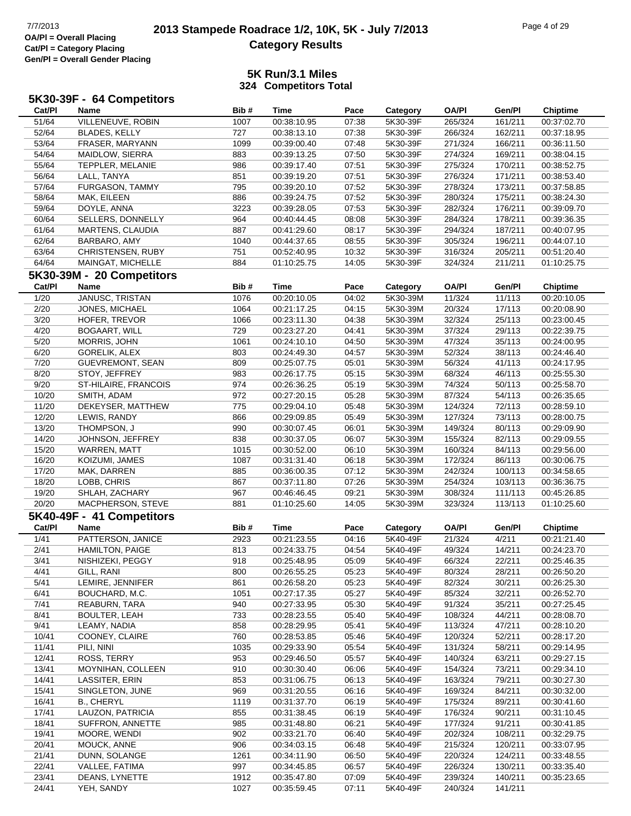### **2013 Stampede Roadrace 1/2, 10K, 5K - July 7/2013** Page 4 of 29 Page 4 of 29 **Category Results**

| <b>Name</b>       | Bib#                                                                                                                                                                                                                                                                                                                                                                                                                                                                                                                                                                                                                                                                                                                                                                                                                                                                                                           | <b>Time</b>                                                                                                                                                                                                                                                                                            | Pace                                                                                                                                                                                                                                                                                                                                                                                                                                                                                                                                                                                                                                | Category                                                                                                                                                                                                                                                                                                                                                                             | <b>OA/PI</b>                                                                                                                                                                                                                                                                                                                                                                                                                                                                                             | Gen/Pl                                                                                                                                                                                                                                                                                                                                                                                                                                                                                               | <b>Chiptime</b>                                                                                                                                                                                                                                                                                                                                                                                                                                        |
|-------------------|----------------------------------------------------------------------------------------------------------------------------------------------------------------------------------------------------------------------------------------------------------------------------------------------------------------------------------------------------------------------------------------------------------------------------------------------------------------------------------------------------------------------------------------------------------------------------------------------------------------------------------------------------------------------------------------------------------------------------------------------------------------------------------------------------------------------------------------------------------------------------------------------------------------|--------------------------------------------------------------------------------------------------------------------------------------------------------------------------------------------------------------------------------------------------------------------------------------------------------|-------------------------------------------------------------------------------------------------------------------------------------------------------------------------------------------------------------------------------------------------------------------------------------------------------------------------------------------------------------------------------------------------------------------------------------------------------------------------------------------------------------------------------------------------------------------------------------------------------------------------------------|--------------------------------------------------------------------------------------------------------------------------------------------------------------------------------------------------------------------------------------------------------------------------------------------------------------------------------------------------------------------------------------|----------------------------------------------------------------------------------------------------------------------------------------------------------------------------------------------------------------------------------------------------------------------------------------------------------------------------------------------------------------------------------------------------------------------------------------------------------------------------------------------------------|------------------------------------------------------------------------------------------------------------------------------------------------------------------------------------------------------------------------------------------------------------------------------------------------------------------------------------------------------------------------------------------------------------------------------------------------------------------------------------------------------|--------------------------------------------------------------------------------------------------------------------------------------------------------------------------------------------------------------------------------------------------------------------------------------------------------------------------------------------------------------------------------------------------------------------------------------------------------|
| VILLENEUVE, ROBIN | 1007                                                                                                                                                                                                                                                                                                                                                                                                                                                                                                                                                                                                                                                                                                                                                                                                                                                                                                           | 00:38:10.95                                                                                                                                                                                                                                                                                            | 07:38                                                                                                                                                                                                                                                                                                                                                                                                                                                                                                                                                                                                                               | 5K30-39F                                                                                                                                                                                                                                                                                                                                                                             | 265/324                                                                                                                                                                                                                                                                                                                                                                                                                                                                                                  | 161/211                                                                                                                                                                                                                                                                                                                                                                                                                                                                                              | 00:37:02.70                                                                                                                                                                                                                                                                                                                                                                                                                                            |
|                   | 727                                                                                                                                                                                                                                                                                                                                                                                                                                                                                                                                                                                                                                                                                                                                                                                                                                                                                                            |                                                                                                                                                                                                                                                                                                        |                                                                                                                                                                                                                                                                                                                                                                                                                                                                                                                                                                                                                                     | 5K30-39F                                                                                                                                                                                                                                                                                                                                                                             |                                                                                                                                                                                                                                                                                                                                                                                                                                                                                                          |                                                                                                                                                                                                                                                                                                                                                                                                                                                                                                      | 00:37:18.95                                                                                                                                                                                                                                                                                                                                                                                                                                            |
| FRASER, MARYANN   | 1099                                                                                                                                                                                                                                                                                                                                                                                                                                                                                                                                                                                                                                                                                                                                                                                                                                                                                                           | 00:39:00.40                                                                                                                                                                                                                                                                                            | 07:48                                                                                                                                                                                                                                                                                                                                                                                                                                                                                                                                                                                                                               |                                                                                                                                                                                                                                                                                                                                                                                      |                                                                                                                                                                                                                                                                                                                                                                                                                                                                                                          | 166/211                                                                                                                                                                                                                                                                                                                                                                                                                                                                                              | 00:36:11.50                                                                                                                                                                                                                                                                                                                                                                                                                                            |
|                   | 883                                                                                                                                                                                                                                                                                                                                                                                                                                                                                                                                                                                                                                                                                                                                                                                                                                                                                                            | 00:39:13.25                                                                                                                                                                                                                                                                                            | 07:50                                                                                                                                                                                                                                                                                                                                                                                                                                                                                                                                                                                                                               | 5K30-39F                                                                                                                                                                                                                                                                                                                                                                             |                                                                                                                                                                                                                                                                                                                                                                                                                                                                                                          |                                                                                                                                                                                                                                                                                                                                                                                                                                                                                                      | 00:38:04.15                                                                                                                                                                                                                                                                                                                                                                                                                                            |
|                   |                                                                                                                                                                                                                                                                                                                                                                                                                                                                                                                                                                                                                                                                                                                                                                                                                                                                                                                |                                                                                                                                                                                                                                                                                                        |                                                                                                                                                                                                                                                                                                                                                                                                                                                                                                                                                                                                                                     |                                                                                                                                                                                                                                                                                                                                                                                      |                                                                                                                                                                                                                                                                                                                                                                                                                                                                                                          |                                                                                                                                                                                                                                                                                                                                                                                                                                                                                                      | 00:38:52.75                                                                                                                                                                                                                                                                                                                                                                                                                                            |
|                   |                                                                                                                                                                                                                                                                                                                                                                                                                                                                                                                                                                                                                                                                                                                                                                                                                                                                                                                |                                                                                                                                                                                                                                                                                                        |                                                                                                                                                                                                                                                                                                                                                                                                                                                                                                                                                                                                                                     |                                                                                                                                                                                                                                                                                                                                                                                      |                                                                                                                                                                                                                                                                                                                                                                                                                                                                                                          |                                                                                                                                                                                                                                                                                                                                                                                                                                                                                                      | 00:38:53.40                                                                                                                                                                                                                                                                                                                                                                                                                                            |
|                   |                                                                                                                                                                                                                                                                                                                                                                                                                                                                                                                                                                                                                                                                                                                                                                                                                                                                                                                |                                                                                                                                                                                                                                                                                                        |                                                                                                                                                                                                                                                                                                                                                                                                                                                                                                                                                                                                                                     |                                                                                                                                                                                                                                                                                                                                                                                      |                                                                                                                                                                                                                                                                                                                                                                                                                                                                                                          |                                                                                                                                                                                                                                                                                                                                                                                                                                                                                                      | 00:37:58.85                                                                                                                                                                                                                                                                                                                                                                                                                                            |
|                   |                                                                                                                                                                                                                                                                                                                                                                                                                                                                                                                                                                                                                                                                                                                                                                                                                                                                                                                |                                                                                                                                                                                                                                                                                                        |                                                                                                                                                                                                                                                                                                                                                                                                                                                                                                                                                                                                                                     |                                                                                                                                                                                                                                                                                                                                                                                      |                                                                                                                                                                                                                                                                                                                                                                                                                                                                                                          |                                                                                                                                                                                                                                                                                                                                                                                                                                                                                                      | 00:38:24.30                                                                                                                                                                                                                                                                                                                                                                                                                                            |
|                   |                                                                                                                                                                                                                                                                                                                                                                                                                                                                                                                                                                                                                                                                                                                                                                                                                                                                                                                |                                                                                                                                                                                                                                                                                                        |                                                                                                                                                                                                                                                                                                                                                                                                                                                                                                                                                                                                                                     |                                                                                                                                                                                                                                                                                                                                                                                      |                                                                                                                                                                                                                                                                                                                                                                                                                                                                                                          |                                                                                                                                                                                                                                                                                                                                                                                                                                                                                                      | 00:39:09.70                                                                                                                                                                                                                                                                                                                                                                                                                                            |
|                   |                                                                                                                                                                                                                                                                                                                                                                                                                                                                                                                                                                                                                                                                                                                                                                                                                                                                                                                |                                                                                                                                                                                                                                                                                                        |                                                                                                                                                                                                                                                                                                                                                                                                                                                                                                                                                                                                                                     |                                                                                                                                                                                                                                                                                                                                                                                      |                                                                                                                                                                                                                                                                                                                                                                                                                                                                                                          |                                                                                                                                                                                                                                                                                                                                                                                                                                                                                                      | 00:39:36.35                                                                                                                                                                                                                                                                                                                                                                                                                                            |
|                   |                                                                                                                                                                                                                                                                                                                                                                                                                                                                                                                                                                                                                                                                                                                                                                                                                                                                                                                |                                                                                                                                                                                                                                                                                                        |                                                                                                                                                                                                                                                                                                                                                                                                                                                                                                                                                                                                                                     |                                                                                                                                                                                                                                                                                                                                                                                      |                                                                                                                                                                                                                                                                                                                                                                                                                                                                                                          |                                                                                                                                                                                                                                                                                                                                                                                                                                                                                                      | 00:40:07.95                                                                                                                                                                                                                                                                                                                                                                                                                                            |
|                   |                                                                                                                                                                                                                                                                                                                                                                                                                                                                                                                                                                                                                                                                                                                                                                                                                                                                                                                |                                                                                                                                                                                                                                                                                                        |                                                                                                                                                                                                                                                                                                                                                                                                                                                                                                                                                                                                                                     |                                                                                                                                                                                                                                                                                                                                                                                      |                                                                                                                                                                                                                                                                                                                                                                                                                                                                                                          |                                                                                                                                                                                                                                                                                                                                                                                                                                                                                                      | 00:44:07.10                                                                                                                                                                                                                                                                                                                                                                                                                                            |
|                   |                                                                                                                                                                                                                                                                                                                                                                                                                                                                                                                                                                                                                                                                                                                                                                                                                                                                                                                |                                                                                                                                                                                                                                                                                                        |                                                                                                                                                                                                                                                                                                                                                                                                                                                                                                                                                                                                                                     |                                                                                                                                                                                                                                                                                                                                                                                      |                                                                                                                                                                                                                                                                                                                                                                                                                                                                                                          |                                                                                                                                                                                                                                                                                                                                                                                                                                                                                                      | 00:51:20.40                                                                                                                                                                                                                                                                                                                                                                                                                                            |
|                   |                                                                                                                                                                                                                                                                                                                                                                                                                                                                                                                                                                                                                                                                                                                                                                                                                                                                                                                |                                                                                                                                                                                                                                                                                                        |                                                                                                                                                                                                                                                                                                                                                                                                                                                                                                                                                                                                                                     |                                                                                                                                                                                                                                                                                                                                                                                      |                                                                                                                                                                                                                                                                                                                                                                                                                                                                                                          |                                                                                                                                                                                                                                                                                                                                                                                                                                                                                                      | 01:10:25.75                                                                                                                                                                                                                                                                                                                                                                                                                                            |
|                   |                                                                                                                                                                                                                                                                                                                                                                                                                                                                                                                                                                                                                                                                                                                                                                                                                                                                                                                |                                                                                                                                                                                                                                                                                                        |                                                                                                                                                                                                                                                                                                                                                                                                                                                                                                                                                                                                                                     |                                                                                                                                                                                                                                                                                                                                                                                      |                                                                                                                                                                                                                                                                                                                                                                                                                                                                                                          |                                                                                                                                                                                                                                                                                                                                                                                                                                                                                                      |                                                                                                                                                                                                                                                                                                                                                                                                                                                        |
|                   |                                                                                                                                                                                                                                                                                                                                                                                                                                                                                                                                                                                                                                                                                                                                                                                                                                                                                                                |                                                                                                                                                                                                                                                                                                        |                                                                                                                                                                                                                                                                                                                                                                                                                                                                                                                                                                                                                                     |                                                                                                                                                                                                                                                                                                                                                                                      |                                                                                                                                                                                                                                                                                                                                                                                                                                                                                                          |                                                                                                                                                                                                                                                                                                                                                                                                                                                                                                      | <b>Chiptime</b>                                                                                                                                                                                                                                                                                                                                                                                                                                        |
|                   |                                                                                                                                                                                                                                                                                                                                                                                                                                                                                                                                                                                                                                                                                                                                                                                                                                                                                                                |                                                                                                                                                                                                                                                                                                        |                                                                                                                                                                                                                                                                                                                                                                                                                                                                                                                                                                                                                                     |                                                                                                                                                                                                                                                                                                                                                                                      |                                                                                                                                                                                                                                                                                                                                                                                                                                                                                                          |                                                                                                                                                                                                                                                                                                                                                                                                                                                                                                      | 00:20:10.05                                                                                                                                                                                                                                                                                                                                                                                                                                            |
|                   |                                                                                                                                                                                                                                                                                                                                                                                                                                                                                                                                                                                                                                                                                                                                                                                                                                                                                                                |                                                                                                                                                                                                                                                                                                        |                                                                                                                                                                                                                                                                                                                                                                                                                                                                                                                                                                                                                                     |                                                                                                                                                                                                                                                                                                                                                                                      |                                                                                                                                                                                                                                                                                                                                                                                                                                                                                                          |                                                                                                                                                                                                                                                                                                                                                                                                                                                                                                      | 00:20:08.90                                                                                                                                                                                                                                                                                                                                                                                                                                            |
|                   |                                                                                                                                                                                                                                                                                                                                                                                                                                                                                                                                                                                                                                                                                                                                                                                                                                                                                                                |                                                                                                                                                                                                                                                                                                        |                                                                                                                                                                                                                                                                                                                                                                                                                                                                                                                                                                                                                                     |                                                                                                                                                                                                                                                                                                                                                                                      |                                                                                                                                                                                                                                                                                                                                                                                                                                                                                                          |                                                                                                                                                                                                                                                                                                                                                                                                                                                                                                      | 00:23:00.45                                                                                                                                                                                                                                                                                                                                                                                                                                            |
|                   |                                                                                                                                                                                                                                                                                                                                                                                                                                                                                                                                                                                                                                                                                                                                                                                                                                                                                                                |                                                                                                                                                                                                                                                                                                        |                                                                                                                                                                                                                                                                                                                                                                                                                                                                                                                                                                                                                                     |                                                                                                                                                                                                                                                                                                                                                                                      |                                                                                                                                                                                                                                                                                                                                                                                                                                                                                                          |                                                                                                                                                                                                                                                                                                                                                                                                                                                                                                      |                                                                                                                                                                                                                                                                                                                                                                                                                                                        |
|                   |                                                                                                                                                                                                                                                                                                                                                                                                                                                                                                                                                                                                                                                                                                                                                                                                                                                                                                                |                                                                                                                                                                                                                                                                                                        |                                                                                                                                                                                                                                                                                                                                                                                                                                                                                                                                                                                                                                     |                                                                                                                                                                                                                                                                                                                                                                                      |                                                                                                                                                                                                                                                                                                                                                                                                                                                                                                          |                                                                                                                                                                                                                                                                                                                                                                                                                                                                                                      | 00:22:39.75                                                                                                                                                                                                                                                                                                                                                                                                                                            |
|                   |                                                                                                                                                                                                                                                                                                                                                                                                                                                                                                                                                                                                                                                                                                                                                                                                                                                                                                                |                                                                                                                                                                                                                                                                                                        |                                                                                                                                                                                                                                                                                                                                                                                                                                                                                                                                                                                                                                     |                                                                                                                                                                                                                                                                                                                                                                                      |                                                                                                                                                                                                                                                                                                                                                                                                                                                                                                          |                                                                                                                                                                                                                                                                                                                                                                                                                                                                                                      | 00:24:00.95                                                                                                                                                                                                                                                                                                                                                                                                                                            |
|                   |                                                                                                                                                                                                                                                                                                                                                                                                                                                                                                                                                                                                                                                                                                                                                                                                                                                                                                                |                                                                                                                                                                                                                                                                                                        |                                                                                                                                                                                                                                                                                                                                                                                                                                                                                                                                                                                                                                     |                                                                                                                                                                                                                                                                                                                                                                                      |                                                                                                                                                                                                                                                                                                                                                                                                                                                                                                          |                                                                                                                                                                                                                                                                                                                                                                                                                                                                                                      | 00:24:46.40                                                                                                                                                                                                                                                                                                                                                                                                                                            |
|                   |                                                                                                                                                                                                                                                                                                                                                                                                                                                                                                                                                                                                                                                                                                                                                                                                                                                                                                                |                                                                                                                                                                                                                                                                                                        |                                                                                                                                                                                                                                                                                                                                                                                                                                                                                                                                                                                                                                     |                                                                                                                                                                                                                                                                                                                                                                                      |                                                                                                                                                                                                                                                                                                                                                                                                                                                                                                          |                                                                                                                                                                                                                                                                                                                                                                                                                                                                                                      | 00:24:17.95                                                                                                                                                                                                                                                                                                                                                                                                                                            |
|                   |                                                                                                                                                                                                                                                                                                                                                                                                                                                                                                                                                                                                                                                                                                                                                                                                                                                                                                                |                                                                                                                                                                                                                                                                                                        |                                                                                                                                                                                                                                                                                                                                                                                                                                                                                                                                                                                                                                     |                                                                                                                                                                                                                                                                                                                                                                                      |                                                                                                                                                                                                                                                                                                                                                                                                                                                                                                          |                                                                                                                                                                                                                                                                                                                                                                                                                                                                                                      | 00:25:55.30                                                                                                                                                                                                                                                                                                                                                                                                                                            |
|                   |                                                                                                                                                                                                                                                                                                                                                                                                                                                                                                                                                                                                                                                                                                                                                                                                                                                                                                                |                                                                                                                                                                                                                                                                                                        |                                                                                                                                                                                                                                                                                                                                                                                                                                                                                                                                                                                                                                     |                                                                                                                                                                                                                                                                                                                                                                                      |                                                                                                                                                                                                                                                                                                                                                                                                                                                                                                          |                                                                                                                                                                                                                                                                                                                                                                                                                                                                                                      | 00:25:58.70                                                                                                                                                                                                                                                                                                                                                                                                                                            |
|                   |                                                                                                                                                                                                                                                                                                                                                                                                                                                                                                                                                                                                                                                                                                                                                                                                                                                                                                                |                                                                                                                                                                                                                                                                                                        |                                                                                                                                                                                                                                                                                                                                                                                                                                                                                                                                                                                                                                     |                                                                                                                                                                                                                                                                                                                                                                                      |                                                                                                                                                                                                                                                                                                                                                                                                                                                                                                          |                                                                                                                                                                                                                                                                                                                                                                                                                                                                                                      | 00:26:35.65                                                                                                                                                                                                                                                                                                                                                                                                                                            |
|                   |                                                                                                                                                                                                                                                                                                                                                                                                                                                                                                                                                                                                                                                                                                                                                                                                                                                                                                                |                                                                                                                                                                                                                                                                                                        |                                                                                                                                                                                                                                                                                                                                                                                                                                                                                                                                                                                                                                     |                                                                                                                                                                                                                                                                                                                                                                                      |                                                                                                                                                                                                                                                                                                                                                                                                                                                                                                          |                                                                                                                                                                                                                                                                                                                                                                                                                                                                                                      | 00:28:59.10                                                                                                                                                                                                                                                                                                                                                                                                                                            |
|                   |                                                                                                                                                                                                                                                                                                                                                                                                                                                                                                                                                                                                                                                                                                                                                                                                                                                                                                                |                                                                                                                                                                                                                                                                                                        |                                                                                                                                                                                                                                                                                                                                                                                                                                                                                                                                                                                                                                     |                                                                                                                                                                                                                                                                                                                                                                                      |                                                                                                                                                                                                                                                                                                                                                                                                                                                                                                          |                                                                                                                                                                                                                                                                                                                                                                                                                                                                                                      | 00:28:00.75                                                                                                                                                                                                                                                                                                                                                                                                                                            |
|                   |                                                                                                                                                                                                                                                                                                                                                                                                                                                                                                                                                                                                                                                                                                                                                                                                                                                                                                                |                                                                                                                                                                                                                                                                                                        |                                                                                                                                                                                                                                                                                                                                                                                                                                                                                                                                                                                                                                     |                                                                                                                                                                                                                                                                                                                                                                                      |                                                                                                                                                                                                                                                                                                                                                                                                                                                                                                          |                                                                                                                                                                                                                                                                                                                                                                                                                                                                                                      | 00:29:09.90                                                                                                                                                                                                                                                                                                                                                                                                                                            |
| JOHNSON, JEFFREY  |                                                                                                                                                                                                                                                                                                                                                                                                                                                                                                                                                                                                                                                                                                                                                                                                                                                                                                                | 00:30:37.05                                                                                                                                                                                                                                                                                            | 06:07                                                                                                                                                                                                                                                                                                                                                                                                                                                                                                                                                                                                                               | 5K30-39M                                                                                                                                                                                                                                                                                                                                                                             |                                                                                                                                                                                                                                                                                                                                                                                                                                                                                                          |                                                                                                                                                                                                                                                                                                                                                                                                                                                                                                      | 00:29:09.55                                                                                                                                                                                                                                                                                                                                                                                                                                            |
| WARREN, MATT      | 1015                                                                                                                                                                                                                                                                                                                                                                                                                                                                                                                                                                                                                                                                                                                                                                                                                                                                                                           | 00:30:52.00                                                                                                                                                                                                                                                                                            | 06:10                                                                                                                                                                                                                                                                                                                                                                                                                                                                                                                                                                                                                               | 5K30-39M                                                                                                                                                                                                                                                                                                                                                                             | 160/324                                                                                                                                                                                                                                                                                                                                                                                                                                                                                                  | 84/113                                                                                                                                                                                                                                                                                                                                                                                                                                                                                               | 00:29:56.00                                                                                                                                                                                                                                                                                                                                                                                                                                            |
| KOIZUMI, JAMES    | 1087                                                                                                                                                                                                                                                                                                                                                                                                                                                                                                                                                                                                                                                                                                                                                                                                                                                                                                           | 00:31:31.40                                                                                                                                                                                                                                                                                            | 06:18                                                                                                                                                                                                                                                                                                                                                                                                                                                                                                                                                                                                                               | 5K30-39M                                                                                                                                                                                                                                                                                                                                                                             | 172/324                                                                                                                                                                                                                                                                                                                                                                                                                                                                                                  | 86/113                                                                                                                                                                                                                                                                                                                                                                                                                                                                                               | 00:30:06.75                                                                                                                                                                                                                                                                                                                                                                                                                                            |
| MAK, DARREN       | 885                                                                                                                                                                                                                                                                                                                                                                                                                                                                                                                                                                                                                                                                                                                                                                                                                                                                                                            | 00:36:00.35                                                                                                                                                                                                                                                                                            | 07:12                                                                                                                                                                                                                                                                                                                                                                                                                                                                                                                                                                                                                               | 5K30-39M                                                                                                                                                                                                                                                                                                                                                                             | 242/324                                                                                                                                                                                                                                                                                                                                                                                                                                                                                                  | 100/113                                                                                                                                                                                                                                                                                                                                                                                                                                                                                              | 00:34:58.65                                                                                                                                                                                                                                                                                                                                                                                                                                            |
| LOBB, CHRIS       | 867                                                                                                                                                                                                                                                                                                                                                                                                                                                                                                                                                                                                                                                                                                                                                                                                                                                                                                            | 00:37:11.80                                                                                                                                                                                                                                                                                            | 07:26                                                                                                                                                                                                                                                                                                                                                                                                                                                                                                                                                                                                                               | 5K30-39M                                                                                                                                                                                                                                                                                                                                                                             | 254/324                                                                                                                                                                                                                                                                                                                                                                                                                                                                                                  | 103/113                                                                                                                                                                                                                                                                                                                                                                                                                                                                                              | 00:36:36.75                                                                                                                                                                                                                                                                                                                                                                                                                                            |
|                   |                                                                                                                                                                                                                                                                                                                                                                                                                                                                                                                                                                                                                                                                                                                                                                                                                                                                                                                |                                                                                                                                                                                                                                                                                                        |                                                                                                                                                                                                                                                                                                                                                                                                                                                                                                                                                                                                                                     |                                                                                                                                                                                                                                                                                                                                                                                      |                                                                                                                                                                                                                                                                                                                                                                                                                                                                                                          |                                                                                                                                                                                                                                                                                                                                                                                                                                                                                                      | 00:45:26.85                                                                                                                                                                                                                                                                                                                                                                                                                                            |
|                   | 881                                                                                                                                                                                                                                                                                                                                                                                                                                                                                                                                                                                                                                                                                                                                                                                                                                                                                                            | 01:10:25.60                                                                                                                                                                                                                                                                                            |                                                                                                                                                                                                                                                                                                                                                                                                                                                                                                                                                                                                                                     | 5K30-39M                                                                                                                                                                                                                                                                                                                                                                             |                                                                                                                                                                                                                                                                                                                                                                                                                                                                                                          | 113/113                                                                                                                                                                                                                                                                                                                                                                                                                                                                                              | 01:10:25.60                                                                                                                                                                                                                                                                                                                                                                                                                                            |
|                   |                                                                                                                                                                                                                                                                                                                                                                                                                                                                                                                                                                                                                                                                                                                                                                                                                                                                                                                |                                                                                                                                                                                                                                                                                                        |                                                                                                                                                                                                                                                                                                                                                                                                                                                                                                                                                                                                                                     |                                                                                                                                                                                                                                                                                                                                                                                      |                                                                                                                                                                                                                                                                                                                                                                                                                                                                                                          |                                                                                                                                                                                                                                                                                                                                                                                                                                                                                                      |                                                                                                                                                                                                                                                                                                                                                                                                                                                        |
| Name              |                                                                                                                                                                                                                                                                                                                                                                                                                                                                                                                                                                                                                                                                                                                                                                                                                                                                                                                |                                                                                                                                                                                                                                                                                                        |                                                                                                                                                                                                                                                                                                                                                                                                                                                                                                                                                                                                                                     |                                                                                                                                                                                                                                                                                                                                                                                      |                                                                                                                                                                                                                                                                                                                                                                                                                                                                                                          |                                                                                                                                                                                                                                                                                                                                                                                                                                                                                                      | <b>Chiptime</b>                                                                                                                                                                                                                                                                                                                                                                                                                                        |
|                   |                                                                                                                                                                                                                                                                                                                                                                                                                                                                                                                                                                                                                                                                                                                                                                                                                                                                                                                |                                                                                                                                                                                                                                                                                                        |                                                                                                                                                                                                                                                                                                                                                                                                                                                                                                                                                                                                                                     |                                                                                                                                                                                                                                                                                                                                                                                      |                                                                                                                                                                                                                                                                                                                                                                                                                                                                                                          |                                                                                                                                                                                                                                                                                                                                                                                                                                                                                                      | 00:21:21.40                                                                                                                                                                                                                                                                                                                                                                                                                                            |
|                   |                                                                                                                                                                                                                                                                                                                                                                                                                                                                                                                                                                                                                                                                                                                                                                                                                                                                                                                |                                                                                                                                                                                                                                                                                                        |                                                                                                                                                                                                                                                                                                                                                                                                                                                                                                                                                                                                                                     |                                                                                                                                                                                                                                                                                                                                                                                      |                                                                                                                                                                                                                                                                                                                                                                                                                                                                                                          |                                                                                                                                                                                                                                                                                                                                                                                                                                                                                                      | 00:24:23.70                                                                                                                                                                                                                                                                                                                                                                                                                                            |
|                   |                                                                                                                                                                                                                                                                                                                                                                                                                                                                                                                                                                                                                                                                                                                                                                                                                                                                                                                |                                                                                                                                                                                                                                                                                                        |                                                                                                                                                                                                                                                                                                                                                                                                                                                                                                                                                                                                                                     |                                                                                                                                                                                                                                                                                                                                                                                      |                                                                                                                                                                                                                                                                                                                                                                                                                                                                                                          |                                                                                                                                                                                                                                                                                                                                                                                                                                                                                                      | 00:25:46.35                                                                                                                                                                                                                                                                                                                                                                                                                                            |
|                   |                                                                                                                                                                                                                                                                                                                                                                                                                                                                                                                                                                                                                                                                                                                                                                                                                                                                                                                |                                                                                                                                                                                                                                                                                                        |                                                                                                                                                                                                                                                                                                                                                                                                                                                                                                                                                                                                                                     |                                                                                                                                                                                                                                                                                                                                                                                      |                                                                                                                                                                                                                                                                                                                                                                                                                                                                                                          |                                                                                                                                                                                                                                                                                                                                                                                                                                                                                                      | 00:26:50.20                                                                                                                                                                                                                                                                                                                                                                                                                                            |
|                   |                                                                                                                                                                                                                                                                                                                                                                                                                                                                                                                                                                                                                                                                                                                                                                                                                                                                                                                |                                                                                                                                                                                                                                                                                                        |                                                                                                                                                                                                                                                                                                                                                                                                                                                                                                                                                                                                                                     |                                                                                                                                                                                                                                                                                                                                                                                      |                                                                                                                                                                                                                                                                                                                                                                                                                                                                                                          |                                                                                                                                                                                                                                                                                                                                                                                                                                                                                                      | 00:26:25.30                                                                                                                                                                                                                                                                                                                                                                                                                                            |
|                   |                                                                                                                                                                                                                                                                                                                                                                                                                                                                                                                                                                                                                                                                                                                                                                                                                                                                                                                |                                                                                                                                                                                                                                                                                                        |                                                                                                                                                                                                                                                                                                                                                                                                                                                                                                                                                                                                                                     |                                                                                                                                                                                                                                                                                                                                                                                      |                                                                                                                                                                                                                                                                                                                                                                                                                                                                                                          |                                                                                                                                                                                                                                                                                                                                                                                                                                                                                                      | 00:26:52.70                                                                                                                                                                                                                                                                                                                                                                                                                                            |
|                   |                                                                                                                                                                                                                                                                                                                                                                                                                                                                                                                                                                                                                                                                                                                                                                                                                                                                                                                |                                                                                                                                                                                                                                                                                                        |                                                                                                                                                                                                                                                                                                                                                                                                                                                                                                                                                                                                                                     |                                                                                                                                                                                                                                                                                                                                                                                      |                                                                                                                                                                                                                                                                                                                                                                                                                                                                                                          |                                                                                                                                                                                                                                                                                                                                                                                                                                                                                                      |                                                                                                                                                                                                                                                                                                                                                                                                                                                        |
|                   |                                                                                                                                                                                                                                                                                                                                                                                                                                                                                                                                                                                                                                                                                                                                                                                                                                                                                                                |                                                                                                                                                                                                                                                                                                        |                                                                                                                                                                                                                                                                                                                                                                                                                                                                                                                                                                                                                                     |                                                                                                                                                                                                                                                                                                                                                                                      |                                                                                                                                                                                                                                                                                                                                                                                                                                                                                                          |                                                                                                                                                                                                                                                                                                                                                                                                                                                                                                      | 00:27:25.45                                                                                                                                                                                                                                                                                                                                                                                                                                            |
|                   |                                                                                                                                                                                                                                                                                                                                                                                                                                                                                                                                                                                                                                                                                                                                                                                                                                                                                                                |                                                                                                                                                                                                                                                                                                        |                                                                                                                                                                                                                                                                                                                                                                                                                                                                                                                                                                                                                                     |                                                                                                                                                                                                                                                                                                                                                                                      |                                                                                                                                                                                                                                                                                                                                                                                                                                                                                                          |                                                                                                                                                                                                                                                                                                                                                                                                                                                                                                      | 00:28:08.70                                                                                                                                                                                                                                                                                                                                                                                                                                            |
|                   |                                                                                                                                                                                                                                                                                                                                                                                                                                                                                                                                                                                                                                                                                                                                                                                                                                                                                                                |                                                                                                                                                                                                                                                                                                        |                                                                                                                                                                                                                                                                                                                                                                                                                                                                                                                                                                                                                                     |                                                                                                                                                                                                                                                                                                                                                                                      |                                                                                                                                                                                                                                                                                                                                                                                                                                                                                                          |                                                                                                                                                                                                                                                                                                                                                                                                                                                                                                      | 00:28:10.20                                                                                                                                                                                                                                                                                                                                                                                                                                            |
|                   |                                                                                                                                                                                                                                                                                                                                                                                                                                                                                                                                                                                                                                                                                                                                                                                                                                                                                                                |                                                                                                                                                                                                                                                                                                        |                                                                                                                                                                                                                                                                                                                                                                                                                                                                                                                                                                                                                                     |                                                                                                                                                                                                                                                                                                                                                                                      |                                                                                                                                                                                                                                                                                                                                                                                                                                                                                                          |                                                                                                                                                                                                                                                                                                                                                                                                                                                                                                      | 00:28:17.20                                                                                                                                                                                                                                                                                                                                                                                                                                            |
|                   |                                                                                                                                                                                                                                                                                                                                                                                                                                                                                                                                                                                                                                                                                                                                                                                                                                                                                                                |                                                                                                                                                                                                                                                                                                        |                                                                                                                                                                                                                                                                                                                                                                                                                                                                                                                                                                                                                                     |                                                                                                                                                                                                                                                                                                                                                                                      |                                                                                                                                                                                                                                                                                                                                                                                                                                                                                                          |                                                                                                                                                                                                                                                                                                                                                                                                                                                                                                      | 00:29:14.95                                                                                                                                                                                                                                                                                                                                                                                                                                            |
|                   |                                                                                                                                                                                                                                                                                                                                                                                                                                                                                                                                                                                                                                                                                                                                                                                                                                                                                                                |                                                                                                                                                                                                                                                                                                        |                                                                                                                                                                                                                                                                                                                                                                                                                                                                                                                                                                                                                                     |                                                                                                                                                                                                                                                                                                                                                                                      |                                                                                                                                                                                                                                                                                                                                                                                                                                                                                                          |                                                                                                                                                                                                                                                                                                                                                                                                                                                                                                      | 00:29:27.15                                                                                                                                                                                                                                                                                                                                                                                                                                            |
|                   |                                                                                                                                                                                                                                                                                                                                                                                                                                                                                                                                                                                                                                                                                                                                                                                                                                                                                                                |                                                                                                                                                                                                                                                                                                        |                                                                                                                                                                                                                                                                                                                                                                                                                                                                                                                                                                                                                                     |                                                                                                                                                                                                                                                                                                                                                                                      |                                                                                                                                                                                                                                                                                                                                                                                                                                                                                                          |                                                                                                                                                                                                                                                                                                                                                                                                                                                                                                      | 00:29:34.10                                                                                                                                                                                                                                                                                                                                                                                                                                            |
|                   |                                                                                                                                                                                                                                                                                                                                                                                                                                                                                                                                                                                                                                                                                                                                                                                                                                                                                                                |                                                                                                                                                                                                                                                                                                        |                                                                                                                                                                                                                                                                                                                                                                                                                                                                                                                                                                                                                                     |                                                                                                                                                                                                                                                                                                                                                                                      |                                                                                                                                                                                                                                                                                                                                                                                                                                                                                                          |                                                                                                                                                                                                                                                                                                                                                                                                                                                                                                      | 00:30:27.30                                                                                                                                                                                                                                                                                                                                                                                                                                            |
| SINGLETON, JUNE   | 969                                                                                                                                                                                                                                                                                                                                                                                                                                                                                                                                                                                                                                                                                                                                                                                                                                                                                                            | 00:31:20.55                                                                                                                                                                                                                                                                                            | 06:16                                                                                                                                                                                                                                                                                                                                                                                                                                                                                                                                                                                                                               | 5K40-49F                                                                                                                                                                                                                                                                                                                                                                             | 169/324                                                                                                                                                                                                                                                                                                                                                                                                                                                                                                  | 84/211                                                                                                                                                                                                                                                                                                                                                                                                                                                                                               | 00:30:32.00                                                                                                                                                                                                                                                                                                                                                                                                                                            |
| <b>B., CHERYL</b> | 1119                                                                                                                                                                                                                                                                                                                                                                                                                                                                                                                                                                                                                                                                                                                                                                                                                                                                                                           | 00:31:37.70                                                                                                                                                                                                                                                                                            | 06:19                                                                                                                                                                                                                                                                                                                                                                                                                                                                                                                                                                                                                               | 5K40-49F                                                                                                                                                                                                                                                                                                                                                                             | 175/324                                                                                                                                                                                                                                                                                                                                                                                                                                                                                                  | 89/211                                                                                                                                                                                                                                                                                                                                                                                                                                                                                               | 00:30:41.60                                                                                                                                                                                                                                                                                                                                                                                                                                            |
|                   |                                                                                                                                                                                                                                                                                                                                                                                                                                                                                                                                                                                                                                                                                                                                                                                                                                                                                                                | 00:31:38.45                                                                                                                                                                                                                                                                                            | 06:19                                                                                                                                                                                                                                                                                                                                                                                                                                                                                                                                                                                                                               | 5K40-49F                                                                                                                                                                                                                                                                                                                                                                             | 176/324                                                                                                                                                                                                                                                                                                                                                                                                                                                                                                  | 90/211                                                                                                                                                                                                                                                                                                                                                                                                                                                                                               | 00:31:10.45                                                                                                                                                                                                                                                                                                                                                                                                                                            |
| LAUZON, PATRICIA  | 855                                                                                                                                                                                                                                                                                                                                                                                                                                                                                                                                                                                                                                                                                                                                                                                                                                                                                                            |                                                                                                                                                                                                                                                                                                        |                                                                                                                                                                                                                                                                                                                                                                                                                                                                                                                                                                                                                                     |                                                                                                                                                                                                                                                                                                                                                                                      |                                                                                                                                                                                                                                                                                                                                                                                                                                                                                                          |                                                                                                                                                                                                                                                                                                                                                                                                                                                                                                      |                                                                                                                                                                                                                                                                                                                                                                                                                                                        |
| SUFFRON, ANNETTE  | 985                                                                                                                                                                                                                                                                                                                                                                                                                                                                                                                                                                                                                                                                                                                                                                                                                                                                                                            | 00:31:48.80                                                                                                                                                                                                                                                                                            | 06:21                                                                                                                                                                                                                                                                                                                                                                                                                                                                                                                                                                                                                               | 5K40-49F                                                                                                                                                                                                                                                                                                                                                                             | 177/324                                                                                                                                                                                                                                                                                                                                                                                                                                                                                                  | 91/211                                                                                                                                                                                                                                                                                                                                                                                                                                                                                               |                                                                                                                                                                                                                                                                                                                                                                                                                                                        |
| MOORE, WENDI      | 902                                                                                                                                                                                                                                                                                                                                                                                                                                                                                                                                                                                                                                                                                                                                                                                                                                                                                                            | 00:33:21.70                                                                                                                                                                                                                                                                                            | 06:40                                                                                                                                                                                                                                                                                                                                                                                                                                                                                                                                                                                                                               | 5K40-49F                                                                                                                                                                                                                                                                                                                                                                             | 202/324                                                                                                                                                                                                                                                                                                                                                                                                                                                                                                  | 108/211                                                                                                                                                                                                                                                                                                                                                                                                                                                                                              |                                                                                                                                                                                                                                                                                                                                                                                                                                                        |
| MOUCK, ANNE       | 906                                                                                                                                                                                                                                                                                                                                                                                                                                                                                                                                                                                                                                                                                                                                                                                                                                                                                                            | 00:34:03.15                                                                                                                                                                                                                                                                                            | 06:48                                                                                                                                                                                                                                                                                                                                                                                                                                                                                                                                                                                                                               | 5K40-49F                                                                                                                                                                                                                                                                                                                                                                             |                                                                                                                                                                                                                                                                                                                                                                                                                                                                                                          | 120/211                                                                                                                                                                                                                                                                                                                                                                                                                                                                                              |                                                                                                                                                                                                                                                                                                                                                                                                                                                        |
| DUNN, SOLANGE     | 1261                                                                                                                                                                                                                                                                                                                                                                                                                                                                                                                                                                                                                                                                                                                                                                                                                                                                                                           | 00:34:11.90                                                                                                                                                                                                                                                                                            | 06:50                                                                                                                                                                                                                                                                                                                                                                                                                                                                                                                                                                                                                               | 5K40-49F                                                                                                                                                                                                                                                                                                                                                                             | 215/324<br>220/324                                                                                                                                                                                                                                                                                                                                                                                                                                                                                       | 124/211                                                                                                                                                                                                                                                                                                                                                                                                                                                                                              | 00:30:41.85<br>00:32:29.75<br>00:33:07.95<br>00:33:48.55                                                                                                                                                                                                                                                                                                                                                                                               |
| VALLEE, FATIMA    | 997                                                                                                                                                                                                                                                                                                                                                                                                                                                                                                                                                                                                                                                                                                                                                                                                                                                                                                            | 00:34:45.85                                                                                                                                                                                                                                                                                            | 06:57                                                                                                                                                                                                                                                                                                                                                                                                                                                                                                                                                                                                                               | 5K40-49F                                                                                                                                                                                                                                                                                                                                                                             | 226/324                                                                                                                                                                                                                                                                                                                                                                                                                                                                                                  | 130/211                                                                                                                                                                                                                                                                                                                                                                                                                                                                                              | 00:33:35.40                                                                                                                                                                                                                                                                                                                                                                                                                                            |
| DEANS, LYNETTE    | 1912                                                                                                                                                                                                                                                                                                                                                                                                                                                                                                                                                                                                                                                                                                                                                                                                                                                                                                           | 00:35:47.80                                                                                                                                                                                                                                                                                            | 07:09                                                                                                                                                                                                                                                                                                                                                                                                                                                                                                                                                                                                                               | 5K40-49F                                                                                                                                                                                                                                                                                                                                                                             | 239/324                                                                                                                                                                                                                                                                                                                                                                                                                                                                                                  | 140/211                                                                                                                                                                                                                                                                                                                                                                                                                                                                                              | 00:35:23.65                                                                                                                                                                                                                                                                                                                                                                                                                                            |
|                   | 5K30-39F - 64 Competitors<br><b>BLADES, KELLY</b><br>MAIDLOW, SIERRA<br>TEPPLER, MELANIE<br>LALL, TANYA<br>FURGASON, TAMMY<br>MAK, EILEEN<br>DOYLE, ANNA<br>SELLERS, DONNELLY<br><b>MARTENS, CLAUDIA</b><br>BARBARO, AMY<br>CHRISTENSEN, RUBY<br>MAINGAT, MICHELLE<br>5K30-39M - 20 Competitors<br>Name<br><b>JANUSC, TRISTAN</b><br>JONES, MICHAEL<br>HOFER, TREVOR<br><b>BOGAART, WILL</b><br>MORRIS, JOHN<br><b>GORELIK, ALEX</b><br>GUEVREMONT, SEAN<br>STOY, JEFFREY<br>ST-HILAIRE, FRANCOIS<br>SMITH, ADAM<br>DEKEYSER, MATTHEW<br>LEWIS, RANDY<br>THOMPSON, J<br>SHLAH, ZACHARY<br>MACPHERSON, STEVE<br>5K40-49F - 41 Competitors<br>PATTERSON, JANICE<br>HAMILTON, PAIGE<br>NISHIZEKI, PEGGY<br>GILL, RANI<br>LEMIRE, JENNIFER<br>BOUCHARD, M.C.<br><b>REABURN, TARA</b><br><b>BOULTER, LEAH</b><br>LEAMY, NADIA<br>COONEY, CLAIRE<br>PILI, NINI<br>ROSS, TERRY<br>MOYNIHAN, COLLEEN<br>LASSITER, ERIN | 986<br>851<br>795<br>886<br>3223<br>964<br>887<br>1040<br>751<br>884<br>Bib#<br>1076<br>1064<br>1066<br>729<br>1061<br>803<br>809<br>983<br>974<br>972<br>775<br>866<br>990<br>838<br>967<br>Bib#<br>2923<br>813<br>918<br>800<br>861<br>1051<br>940<br>733<br>858<br>760<br>1035<br>953<br>910<br>853 | 00:38:13.10<br>00:39:17.40<br>00:39:19.20<br>00:39:20.10<br>00:39:24.75<br>00:39:28.05<br>00:40:44.45<br>00:41:29.60<br>00:44:37.65<br>00:52:40.95<br>01:10:25.75<br><b>Time</b><br>00:20:10.05<br>00:21:17.25<br>00:23:11.30<br>00:23:27.20<br>00:24:10.10<br>00:24:49.30<br>00:25:07.75<br>00:26:17.75<br>00:26:36.25<br>00:27:20.15<br>00:29:04.10<br>00:29:09.85<br>00:30:07.45<br>00:46:46.45<br><b>Time</b><br>00:21:23.55<br>00:24:33.75<br>00:25:48.95<br>00:26:55.25<br>00:26:58.20<br>00:27:17.35<br>00:27:33.95<br>00:28:23.55<br>00:28:29.95<br>00:28:53.85<br>00:29:33.90<br>00:29:46.50<br>00:30:30.40<br>00:31:06.75 | 07:38<br>07:51<br>07:51<br>07:52<br>07:52<br>07:53<br>08:08<br>08:17<br>08:55<br>10:32<br>14:05<br>Pace<br>04:02<br>04:15<br>04:38<br>04:41<br>04:50<br>04:57<br>05:01<br>05:15<br>05:19<br>05:28<br>05:48<br>05:49<br>06:01<br>09:21<br>14:05<br>Pace<br>04:16<br>04:54<br>05:09<br>05:23<br>05:23<br>05:27<br>05:30<br>05:40<br>05:41<br>05:46<br>05:54<br>05:57<br>06:06<br>06:13 | 5K30-39F<br>5K30-39F<br>5K30-39F<br>5K30-39F<br>5K30-39F<br>5K30-39F<br>5K30-39F<br>5K30-39F<br>5K30-39F<br>5K30-39F<br>5K30-39F<br>Category<br>5K30-39M<br>5K30-39M<br>5K30-39M<br>5K30-39M<br>5K30-39M<br>5K30-39M<br>5K30-39M<br>5K30-39M<br>5K30-39M<br>5K30-39M<br>5K30-39M<br>5K30-39M<br>5K30-39M<br>5K30-39M<br>Category<br>5K40-49F<br>5K40-49F<br>5K40-49F<br>5K40-49F<br>5K40-49F<br>5K40-49F<br>5K40-49F<br>5K40-49F<br>5K40-49F<br>5K40-49F<br>5K40-49F<br>5K40-49F<br>5K40-49F<br>5K40-49F | 266/324<br>271/324<br>274/324<br>275/324<br>276/324<br>278/324<br>280/324<br>282/324<br>284/324<br>294/324<br>305/324<br>316/324<br>324/324<br><b>OA/PI</b><br>11/324<br>20/324<br>32/324<br>37/324<br>47/324<br>52/324<br>56/324<br>68/324<br>74/324<br>87/324<br>124/324<br>127/324<br>149/324<br>155/324<br>308/324<br>323/324<br><b>OA/PI</b><br>21/324<br>49/324<br>66/324<br>80/324<br>82/324<br>85/324<br>91/324<br>108/324<br>113/324<br>120/324<br>131/324<br>140/324<br>154/324<br>163/324 | 162/211<br>169/211<br>170/211<br>171/211<br>173/211<br>175/211<br>176/211<br>178/211<br>187/211<br>196/211<br>205/211<br>211/211<br>Gen/Pl<br>11/113<br>17/113<br>25/113<br>29/113<br>35/113<br>38/113<br>41/113<br>46/113<br>50/113<br>54/113<br>72/113<br>73/113<br>80/113<br>82/113<br>111/113<br>Gen/Pl<br>4/211<br>14/211<br>22/211<br>28/211<br>30/211<br>32/211<br>35/211<br>44/211<br>47/211<br>52/211<br>58/211<br>63/211<br>73/211<br>79/211 |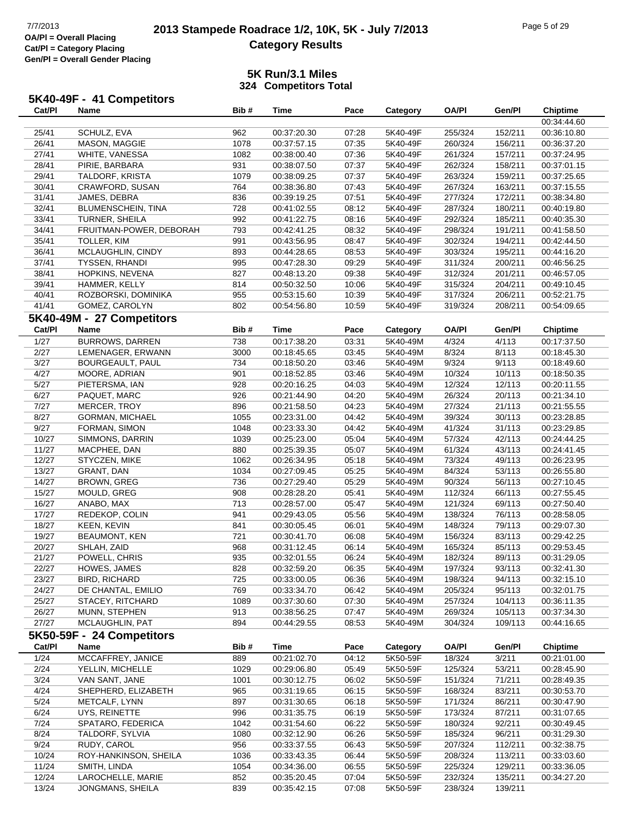## **2013 Stampede Roadrace 1/2, 10K, 5K - July 7/2013** Page 5 of 29<br> **Development Care 1/2, 10K, 5K - July 7/2013 Category Results**

|        | 5K40-49F - 41 Competitors |      |             |       |          |              |         |                 |
|--------|---------------------------|------|-------------|-------|----------|--------------|---------|-----------------|
| Cat/Pl | Name                      | Bib# | Time        | Pace  | Categorv | <b>OA/PI</b> | Gen/Pl  | <b>Chiptime</b> |
|        |                           |      |             |       |          |              |         | 00:34:44.6      |
| 25/41  | SCHULZ, EVA               | 962  | 00:37:20.30 | 07:28 | 5K40-49F | 255/324      | 152/211 | 00:36:10.8      |

|        |                           |      |             |       |          |              |         | 00:34:44.60     |
|--------|---------------------------|------|-------------|-------|----------|--------------|---------|-----------------|
| 25/41  | SCHULZ, EVA               | 962  | 00:37:20.30 | 07:28 | 5K40-49F | 255/324      | 152/211 | 00:36:10.80     |
| 26/41  | MASON, MAGGIE             | 1078 | 00:37:57.15 | 07:35 | 5K40-49F | 260/324      | 156/211 | 00:36:37.20     |
| 27/41  | WHITE, VANESSA            | 1082 | 00:38:00.40 | 07:36 | 5K40-49F | 261/324      | 157/211 | 00:37:24.95     |
| 28/41  | PIRIE, BARBARA            | 931  | 00:38:07.50 | 07:37 | 5K40-49F | 262/324      | 158/211 | 00:37:01.15     |
| 29/41  | TALDORF, KRISTA           | 1079 | 00:38:09.25 | 07:37 | 5K40-49F | 263/324      | 159/211 | 00:37:25.65     |
| 30/41  | CRAWFORD, SUSAN           | 764  | 00:38:36.80 | 07:43 | 5K40-49F | 267/324      | 163/211 | 00:37:15.55     |
| 31/41  | JAMES, DEBRA              | 836  | 00:39:19.25 | 07:51 | 5K40-49F | 277/324      | 172/211 | 00:38:34.80     |
| 32/41  | BLUMENSCHEIN, TINA        | 728  | 00:41:02.55 | 08:12 | 5K40-49F | 287/324      | 180/211 | 00:40:19.80     |
| 33/41  | TURNER, SHEILA            | 992  | 00:41:22.75 | 08:16 | 5K40-49F | 292/324      | 185/211 | 00:40:35.30     |
| 34/41  | FRUITMAN-POWER, DEBORAH   | 793  | 00:42:41.25 | 08:32 | 5K40-49F | 298/324      | 191/211 | 00:41:58.50     |
| 35/41  | TOLLER, KIM               | 991  | 00:43:56.95 | 08:47 | 5K40-49F | 302/324      | 194/211 | 00:42:44.50     |
| 36/41  | MCLAUGHLIN, CINDY         | 893  | 00:44:28.65 | 08:53 | 5K40-49F | 303/324      | 195/211 | 00:44:16.20     |
| 37/41  | <b>TYSSEN, RHANDI</b>     | 995  | 00:47:28.30 | 09:29 | 5K40-49F | 311/324      | 200/211 | 00:46:56.25     |
| 38/41  | HOPKINS, NEVENA           | 827  | 00:48:13.20 | 09:38 | 5K40-49F | 312/324      | 201/211 | 00:46:57.05     |
| 39/41  | HAMMER, KELLY             | 814  | 00:50:32.50 | 10:06 | 5K40-49F | 315/324      | 204/211 | 00:49:10.45     |
| 40/41  | ROZBORSKI, DOMINIKA       | 955  | 00:53:15.60 | 10:39 | 5K40-49F | 317/324      | 206/211 | 00:52:21.75     |
| 41/41  | GOMEZ, CAROLYN            | 802  | 00:54:56.80 | 10:59 | 5K40-49F | 319/324      | 208/211 | 00:54:09.65     |
|        | 5K40-49M - 27 Competitors |      |             |       |          |              |         |                 |
|        |                           |      |             |       |          |              |         |                 |
| Cat/PI | <b>Name</b>               | Bib# | Time        | Pace  | Category | <b>OA/PI</b> | Gen/Pl  | <b>Chiptime</b> |
| 1/27   | <b>BURROWS, DARREN</b>    | 738  | 00:17:38.20 | 03:31 | 5K40-49M | 4/324        | 4/113   | 00:17:37.50     |
| 2/27   | LEMENAGER, ERWANN         | 3000 | 00:18:45.65 | 03:45 | 5K40-49M | 8/324        | 8/113   | 00:18:45.30     |
| 3/27   | BOURGEAULT, PAUL          | 734  | 00:18:50.20 | 03:46 | 5K40-49M | 9/324        | 9/113   | 00:18:49.60     |
| 4/27   | MOORE, ADRIAN             | 901  | 00:18:52.85 | 03:46 | 5K40-49M | 10/324       | 10/113  | 00:18:50.35     |
| 5/27   | PIETERSMA, IAN            | 928  | 00:20:16.25 | 04:03 | 5K40-49M | 12/324       | 12/113  | 00:20:11.55     |
| 6/27   | PAQUET, MARC              | 926  | 00:21:44.90 | 04:20 | 5K40-49M | 26/324       | 20/113  | 00:21:34.10     |
| 7/27   | MERCER, TROY              | 896  | 00:21:58.50 | 04:23 | 5K40-49M | 27/324       | 21/113  | 00:21:55.55     |
| 8/27   | GORMAN, MICHAEL           | 1055 | 00:23:31.00 | 04:42 | 5K40-49M | 39/324       | 30/113  | 00:23:28.85     |
| 9/27   | FORMAN, SIMON             | 1048 | 00:23:33.30 | 04:42 | 5K40-49M | 41/324       | 31/113  | 00:23:29.85     |
| 10/27  | SIMMONS, DARRIN           | 1039 | 00:25:23.00 | 05:04 | 5K40-49M | 57/324       | 42/113  | 00:24:44.25     |
| 11/27  | MACPHEE, DAN              | 880  | 00:25:39.35 | 05:07 | 5K40-49M | 61/324       | 43/113  | 00:24:41.45     |
| 12/27  | STYCZEN, MIKE             | 1062 | 00:26:34.95 | 05:18 | 5K40-49M | 73/324       | 49/113  | 00:26:23.95     |
| 13/27  | GRANT, DAN                | 1034 | 00:27:09.45 | 05:25 | 5K40-49M | 84/324       | 53/113  | 00:26:55.80     |
| 14/27  | <b>BROWN, GREG</b>        | 736  | 00:27:29.40 | 05:29 | 5K40-49M | 90/324       | 56/113  | 00:27:10.45     |
| 15/27  | MOULD, GREG               | 908  | 00:28:28.20 | 05:41 | 5K40-49M | 112/324      | 66/113  | 00:27:55.45     |
| 16/27  | ANABO, MAX                | 713  | 00:28:57.00 | 05:47 | 5K40-49M | 121/324      | 69/113  | 00:27:50.40     |
| 17/27  | REDEKOP, COLIN            | 941  | 00:29:43.05 | 05:56 | 5K40-49M | 138/324      | 76/113  | 00:28:58.05     |
| 18/27  | <b>KEEN, KEVIN</b>        | 841  | 00:30:05.45 | 06:01 | 5K40-49M | 148/324      | 79/113  | 00:29:07.30     |
| 19/27  | <b>BEAUMONT, KEN</b>      | 721  | 00:30:41.70 | 06:08 | 5K40-49M | 156/324      | 83/113  | 00:29:42.25     |
| 20/27  | SHLAH, ZAID               | 968  | 00:31:12.45 | 06:14 | 5K40-49M | 165/324      | 85/113  | 00:29:53.45     |
| 21/27  | POWELL, CHRIS             | 935  | 00:32:01.55 | 06:24 | 5K40-49M | 182/324      | 89/113  | 00:31:29.05     |
| 22/27  | HOWES, JAMES              | 828  | 00:32:59.20 | 06:35 | 5K40-49M | 197/324      | 93/113  | 00:32:41.30     |
| 23/27  | <b>BIRD, RICHARD</b>      | 725  | 00:33:00.05 | 06:36 | 5K40-49M | 198/324      | 94/113  | 00:32:15.10     |
| 24/27  | DE CHANTAL, EMILIO        | 769  | 00:33:34.70 | 06:42 | 5K40-49M | 205/324      | 95/113  | 00:32:01.75     |
| 25/27  | STACEY, RITCHARD          | 1089 | 00:37:30.60 | 07:30 | 5K40-49M | 257/324      | 104/113 | 00:36:11.35     |
| 26/27  | MUNN, STEPHEN             | 913  | 00:38:56.25 | 07:47 | 5K40-49M | 269/324      | 105/113 | 00:37:34.30     |
| 27/27  | MCLAUGHLIN, PAT           | 894  | 00:44:29.55 | 08:53 | 5K40-49M | 304/324      | 109/113 | 00:44:16.65     |
|        | 5K50-59F - 24 Competitors |      |             |       |          |              |         |                 |
| Cat/PI | Name                      | Bib# | <b>Time</b> | Pace  | Category | <b>OA/PI</b> | Gen/Pl  | <b>Chiptime</b> |
| 1/24   | MCCAFFREY, JANICE         | 889  | 00:21:02.70 | 04:12 | 5K50-59F | 18/324       | 3/211   | 00:21:01.00     |
| 2/24   | YELLIN, MICHELLE          | 1029 | 00:29:06.80 | 05:49 | 5K50-59F | 125/324      | 53/211  | 00:28:45.90     |
| 3/24   | VAN SANT, JANE            | 1001 | 00:30:12.75 | 06:02 | 5K50-59F | 151/324      | 71/211  | 00:28:49.35     |
| 4/24   | SHEPHERD, ELIZABETH       | 965  | 00:31:19.65 | 06:15 | 5K50-59F | 168/324      | 83/211  | 00:30:53.70     |
| 5/24   | METCALF, LYNN             | 897  | 00:31:30.65 | 06:18 | 5K50-59F | 171/324      | 86/211  | 00:30:47.90     |
| 6/24   | UYS, REINETTE             | 996  | 00:31:35.75 | 06:19 | 5K50-59F | 173/324      | 87/211  | 00:31:07.65     |
| 7/24   | SPATARO, FEDERICA         | 1042 | 00:31:54.60 | 06:22 | 5K50-59F | 180/324      | 92/211  | 00:30:49.45     |
| 8/24   | TALDORF, SYLVIA           | 1080 | 00:32:12.90 | 06:26 | 5K50-59F | 185/324      | 96/211  | 00:31:29.30     |
| 9/24   | RUDY, CAROL               | 956  | 00:33:37.55 | 06:43 | 5K50-59F | 207/324      | 112/211 | 00:32:38.75     |
| 10/24  | ROY-HANKINSON, SHEILA     | 1036 | 00:33:43.35 | 06:44 | 5K50-59F | 208/324      | 113/211 | 00:33:03.60     |
| 11/24  | SMITH, LINDA              | 1054 | 00:34:36.00 | 06:55 | 5K50-59F | 225/324      | 129/211 | 00:33:36.05     |
| 12/24  | LAROCHELLE, MARIE         | 852  | 00:35:20.45 | 07:04 | 5K50-59F | 232/324      | 135/211 | 00:34:27.20     |
| 13/24  | JONGMANS, SHEILA          | 839  | 00:35:42.15 | 07:08 | 5K50-59F | 238/324      | 139/211 |                 |